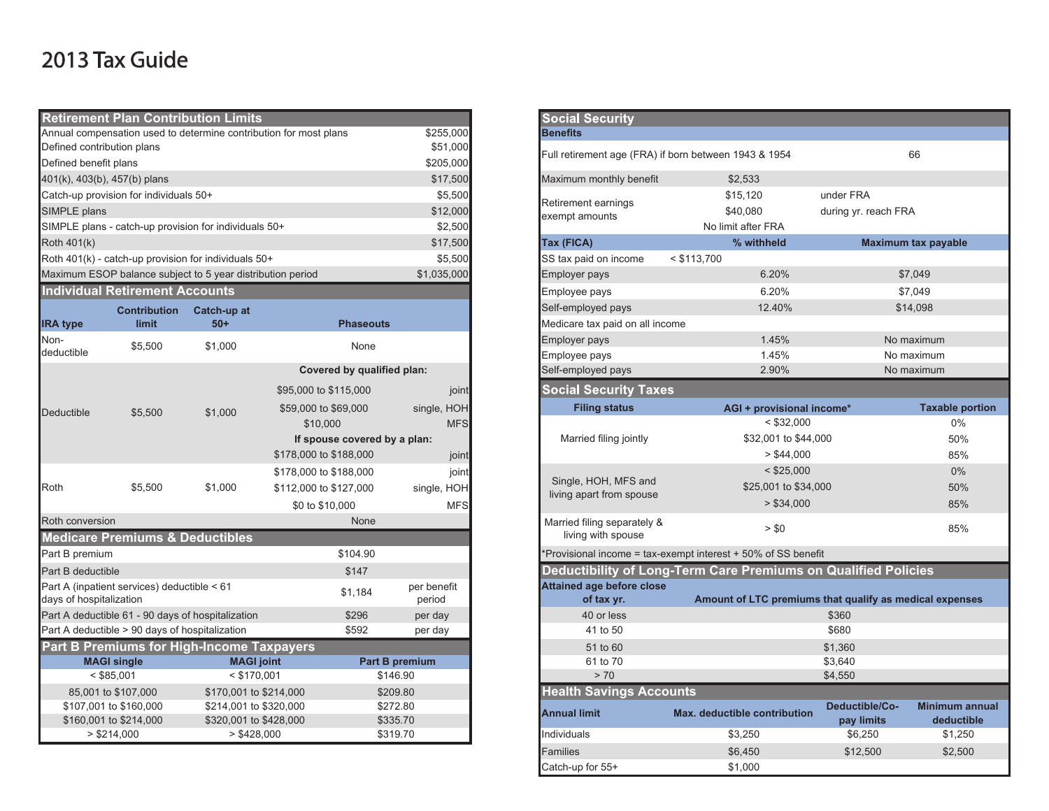## 2013 Tax Guide

|                                                         | <b>Retirement Plan Contribution Limits</b>                 |                                                  |                                                                   |                      | <b>Social Security</b>                |                                                                       |                              |           |
|---------------------------------------------------------|------------------------------------------------------------|--------------------------------------------------|-------------------------------------------------------------------|----------------------|---------------------------------------|-----------------------------------------------------------------------|------------------------------|-----------|
|                                                         |                                                            |                                                  | Annual compensation used to determine contribution for most plans | \$255,000            | <b>Benefits</b>                       |                                                                       |                              |           |
| Defined contribution plans                              |                                                            |                                                  |                                                                   | \$51,000             |                                       | Full retirement age (FRA) if born between 1943 & 1954                 |                              | 66        |
| Defined benefit plans                                   |                                                            |                                                  |                                                                   | \$205,000            |                                       |                                                                       |                              |           |
| 401(k), 403(b), 457(b) plans                            |                                                            |                                                  |                                                                   | \$17,500             | Maximum monthly benefit               | \$2,533                                                               |                              |           |
|                                                         | Catch-up provision for individuals 50+                     |                                                  |                                                                   | \$5,500              |                                       | \$15,120                                                              | under FRA                    |           |
| SIMPLE plans                                            |                                                            |                                                  |                                                                   | \$12,000             | Retirement earnings<br>exempt amounts | \$40,080                                                              | during yr. reach FRA         |           |
|                                                         | SIMPLE plans - catch-up provision for individuals 50+      |                                                  |                                                                   | \$2,500              |                                       | No limit after FRA                                                    |                              |           |
| Roth 401(k)                                             |                                                            |                                                  |                                                                   | \$17,500             | Tax (FICA)                            | % withheld                                                            | Maximum tax p                |           |
|                                                         | Roth 401(k) - catch-up provision for individuals 50+       |                                                  |                                                                   | \$5,500              | SS tax paid on income                 | $<$ \$113,700                                                         |                              |           |
|                                                         | Maximum ESOP balance subject to 5 year distribution period |                                                  |                                                                   | \$1,035,000          | <b>Employer pays</b>                  | 6.20%                                                                 |                              | \$7,049   |
|                                                         | <b>Individual Retirement Accounts</b>                      |                                                  |                                                                   |                      | Employee pays                         | 6.20%                                                                 |                              | \$7,049   |
|                                                         | <b>Contribution</b>                                        | Catch-up at                                      |                                                                   |                      | Self-employed pays                    | 12.40%                                                                |                              | \$14.098  |
| <b>IRA</b> type                                         | <b>limit</b>                                               | $50+$                                            | <b>Phaseouts</b>                                                  |                      | Medicare tax paid on all income       |                                                                       |                              |           |
| Non-                                                    |                                                            | \$1,000                                          | None                                                              |                      | <b>Employer pays</b>                  | 1.45%                                                                 |                              | No maximu |
| deductible                                              | \$5,500                                                    |                                                  |                                                                   |                      | Employee pays                         | 1.45%                                                                 |                              | No maximu |
|                                                         |                                                            |                                                  | Covered by qualified plan:                                        |                      | Self-employed pays                    | 2.90%                                                                 |                              | No maximu |
|                                                         |                                                            | \$1,000                                          | \$95,000 to \$115,000                                             | joint                | <b>Social Security Taxes</b>          |                                                                       |                              |           |
| Deductible                                              | \$5,500                                                    |                                                  | \$59,000 to \$69,000                                              | single, HOH          | <b>Filing status</b>                  | AGI + provisional income*                                             |                              | Ta:       |
|                                                         |                                                            |                                                  | \$10,000                                                          | <b>MFS</b>           |                                       | $<$ \$32,000                                                          |                              |           |
|                                                         |                                                            |                                                  | If spouse covered by a plan:                                      |                      | Married filing jointly                | \$32,001 to \$44,000                                                  |                              |           |
|                                                         |                                                            |                                                  | \$178,000 to \$188,000                                            | joint                |                                       | > \$44,000                                                            |                              |           |
|                                                         |                                                            |                                                  | \$178,000 to \$188,000                                            | joint                |                                       | $<$ \$25,000                                                          |                              |           |
| Roth                                                    | \$5,500                                                    | \$1,000                                          | \$112,000 to \$127,000                                            | single, HOH          | Single, HOH, MFS and                  | \$25,001 to \$34,000                                                  |                              |           |
|                                                         |                                                            |                                                  | \$0 to \$10,000                                                   | <b>MFS</b>           | living apart from spouse              | > \$34,000                                                            |                              |           |
| Roth conversion                                         |                                                            |                                                  | None                                                              |                      | Married filing separately &           |                                                                       |                              |           |
|                                                         | <b>Medicare Premiums &amp; Deductibles</b>                 |                                                  |                                                                   |                      | living with spouse                    | > \$0                                                                 |                              |           |
| Part B premium                                          |                                                            |                                                  | \$104.90                                                          |                      |                                       | *Provisional income = tax-exempt interest + 50% of SS benefit         |                              |           |
| Part B deductible                                       |                                                            |                                                  | \$147                                                             |                      |                                       | <b>Deductibility of Long-Term Care Premiums on Qualified Policies</b> |                              |           |
|                                                         | Part A (inpatient services) deductible < 61                |                                                  | \$1,184                                                           | per benefit          | <b>Attained age before close</b>      |                                                                       |                              |           |
| days of hospitalization                                 |                                                            |                                                  |                                                                   | period               | of tax yr.                            | Amount of LTC premiums that qualify as medical                        |                              |           |
|                                                         | Part A deductible 61 - 90 days of hospitalization          |                                                  | \$296                                                             | per day              | 40 or less                            |                                                                       | \$360                        |           |
| \$592<br>Part A deductible > 90 days of hospitalization |                                                            |                                                  | per day                                                           | 41 to 50             |                                       | \$680                                                                 |                              |           |
|                                                         | <b>Part B Premiums for High-Income Taxpayers</b>           |                                                  |                                                                   |                      | 51 to 60                              |                                                                       | \$1,360                      |           |
| <b>MAGI single</b><br><b>MAGI</b> joint                 |                                                            |                                                  | <b>Part B premium</b>                                             | 61 to 70             |                                       | \$3,640                                                               |                              |           |
|                                                         | $<$ \$85,001                                               | $<$ \$170,001                                    |                                                                   | \$146.90             | > 70                                  |                                                                       | \$4,550                      |           |
|                                                         | 85,001 to \$107,000                                        | \$170,001 to \$214,000                           |                                                                   | \$209.80             | <b>Health Savings Accounts</b>        |                                                                       |                              |           |
|                                                         | \$107,001 to \$160,000<br>\$160,001 to \$214,000           | \$214,001 to \$320,000<br>\$320,001 to \$428,000 |                                                                   | \$272.80<br>\$335.70 | <b>Annual limit</b>                   | Max. deductible contribution                                          | Deductible/Co-<br>pay limits | Mir       |
|                                                         | > \$214,000                                                | > \$428,000                                      |                                                                   | \$319.70             | Individuals                           | \$3,250                                                               | \$6,250                      |           |
|                                                         |                                                            |                                                  |                                                                   |                      |                                       |                                                                       |                              |           |

|                       | <b>Social Security</b>                                |                                                                |                              |                                     |
|-----------------------|-------------------------------------------------------|----------------------------------------------------------------|------------------------------|-------------------------------------|
| \$255,000             | <b>Benefits</b>                                       |                                                                |                              |                                     |
| \$51,000<br>\$205,000 | Full retirement age (FRA) if born between 1943 & 1954 |                                                                |                              | 66                                  |
| \$17,500              | Maximum monthly benefit                               | \$2,533                                                        |                              |                                     |
| \$5,500               |                                                       | \$15,120                                                       | under FRA                    |                                     |
| \$12,000              | Retirement earnings                                   | \$40,080                                                       | during yr. reach FRA         |                                     |
| \$2,500               | exempt amounts                                        | No limit after FRA                                             |                              |                                     |
| \$17,500              | Tax (FICA)                                            | % withheld                                                     |                              | <b>Maximum tax payable</b>          |
| \$5,500               | SS tax paid on income                                 | $<$ \$113,700                                                  |                              |                                     |
| \$1,035,000           | Employer pays                                         | 6.20%                                                          |                              | \$7,049                             |
|                       | Employee pays                                         | 6.20%                                                          |                              | \$7,049                             |
|                       | Self-employed pays                                    | 12.40%                                                         |                              | \$14,098                            |
|                       | Medicare tax paid on all income                       |                                                                |                              |                                     |
|                       | Employer pays                                         | 1.45%                                                          |                              | No maximum                          |
|                       | Employee pays                                         | 1.45%                                                          |                              | No maximum                          |
| an:                   | Self-employed pays                                    | 2.90%                                                          |                              | No maximum                          |
| joint                 | Social Security Taxes                                 |                                                                |                              |                                     |
| single, HOH           | <b>Filing status</b>                                  | AGI + provisional income*                                      |                              | <b>Taxable portion</b>              |
| <b>MFS</b>            |                                                       | $<$ \$32,000                                                   |                              | 0%                                  |
| lan:                  | Married filing jointly                                | \$32,001 to \$44,000                                           |                              | 50%                                 |
| joint                 |                                                       | > \$44,000                                                     |                              | 85%                                 |
| joint                 |                                                       | $<$ \$25,000                                                   |                              | 0%                                  |
| single, HOH           | Single, HOH, MFS and<br>living apart from spouse      | \$25,001 to \$34,000                                           |                              | 50%                                 |
| <b>MFS</b>            |                                                       | > \$34,000                                                     |                              | 85%                                 |
|                       | Married filing separately &<br>living with spouse     | > \$0                                                          |                              | 85%                                 |
|                       |                                                       | Provisional income = tax-exempt interest + 50% of SS benefit   |                              |                                     |
|                       |                                                       | Deductibility of Long-Term Care Premiums on Qualified Policies |                              |                                     |
| er benefit            | <b>Attained age before close</b>                      |                                                                |                              |                                     |
| period                | of tax yr.                                            | Amount of LTC premiums that qualify as medical expenses        |                              |                                     |
| per day               | 40 or less                                            |                                                                | \$360                        |                                     |
| per day               | 41 to 50                                              |                                                                | \$680                        |                                     |
|                       | 51 to 60                                              |                                                                | \$1,360                      |                                     |
| nium                  | 61 to 70                                              |                                                                | \$3,640                      |                                     |
|                       | > 70                                                  |                                                                | \$4,550                      |                                     |
|                       | <b>Health Savings Accounts</b>                        |                                                                |                              |                                     |
|                       | <b>Annual limit</b>                                   | Max. deductible contribution                                   | Deductible/Co-<br>pay limits | <b>Minimum annual</b><br>deductible |
|                       | Individuals                                           | \$3,250                                                        | \$6,250                      | \$1,250                             |
|                       | Families                                              | \$6,450                                                        | \$12,500                     | \$2,500                             |
|                       | Catch-up for 55+                                      | \$1,000                                                        |                              |                                     |
|                       |                                                       |                                                                |                              |                                     |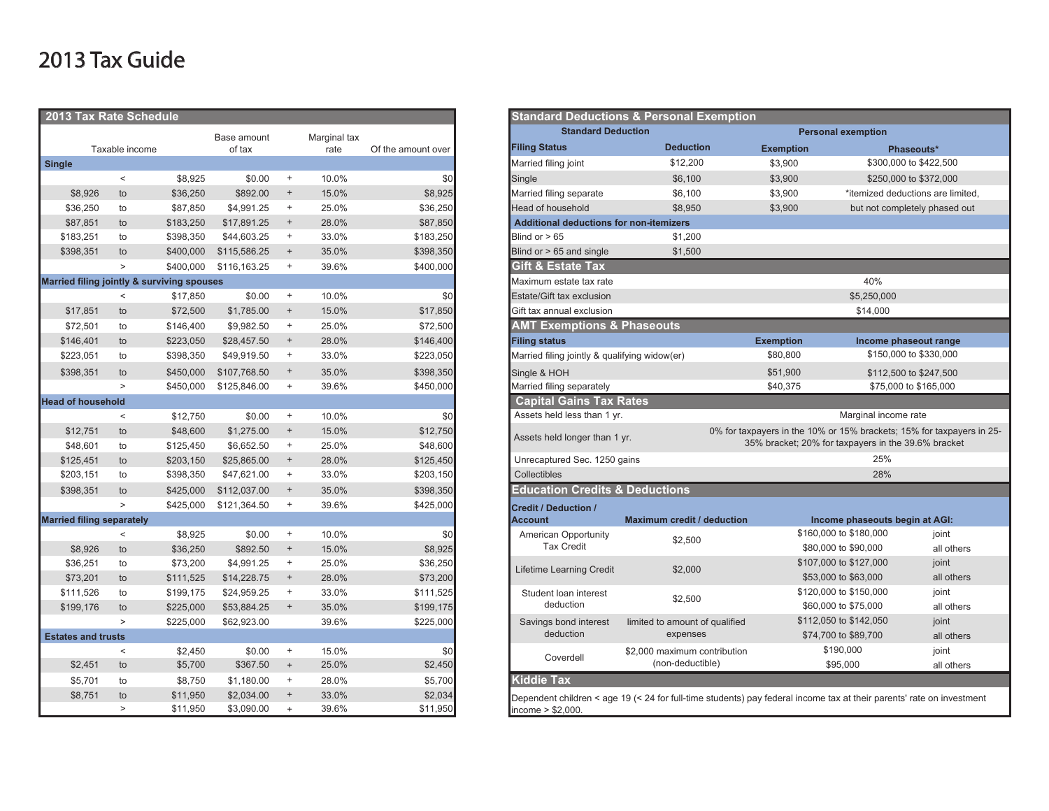## 2013 Tax Guide

| 2013 Tax Rate Schedule           |                |                                            |              |                                  |       |                           | <b>Standard Deductions &amp; Personal Exemption</b>                              |  |  |
|----------------------------------|----------------|--------------------------------------------|--------------|----------------------------------|-------|---------------------------|----------------------------------------------------------------------------------|--|--|
| Base amount<br>Marginal tax      |                |                                            |              |                                  |       | <b>Standard Deduction</b> |                                                                                  |  |  |
|                                  | Taxable income |                                            | of tax       |                                  | rate  | Of the amount over        | <b>Deduction</b><br><b>Filing Status</b><br><b>Exemption</b>                     |  |  |
| <b>Single</b>                    |                |                                            |              |                                  |       |                           | \$12,200<br>Married filing joint<br>\$3,900                                      |  |  |
|                                  | $\,<$          | \$8,925                                    | \$0.00       | $^{\mathrm{+}}$                  | 10.0% | \$0                       | \$3,900<br>Single<br>\$6,100                                                     |  |  |
| \$8,926                          | to             | \$36,250                                   | \$892.00     | $\begin{array}{c} + \end{array}$ | 15.0% | \$8,925                   | Married filing separate<br>\$6,100<br>\$3,900                                    |  |  |
| \$36,250                         | to             | \$87,850                                   | \$4,991.25   | $+$                              | 25.0% | \$36,250                  | <b>Head of household</b><br>\$8,950<br>\$3,900                                   |  |  |
| \$87,851                         | to             | \$183,250                                  | \$17,891.25  | $\! +$                           | 28.0% | \$87,850                  | <b>Additional deductions for non-itemizers</b>                                   |  |  |
| \$183,251                        | to             | \$398,350                                  | \$44,603.25  | $+$                              | 33.0% | \$183,250                 | Blind or $> 65$<br>\$1,200                                                       |  |  |
| \$398,351                        | to             | \$400,000                                  | \$115,586.25 | $\begin{array}{c} + \end{array}$ | 35.0% | \$398,350                 | Blind or $> 65$ and single<br>\$1,500                                            |  |  |
|                                  | $\, >$         | \$400,000                                  | \$116,163.25 | $^{\mathrm{+}}$                  | 39.6% | \$400,000                 | <b>Gift &amp; Estate Tax</b>                                                     |  |  |
|                                  |                | Married filing jointly & surviving spouses |              |                                  |       |                           | Maximum estate tax rate                                                          |  |  |
|                                  | $\,<$          | \$17,850                                   | \$0.00       | $+$                              | 10.0% | \$0                       | Estate/Gift tax exclusion                                                        |  |  |
| \$17,851                         | to             | \$72,500                                   | \$1,785.00   | $^{\mathrm{+}}$                  | 15.0% | \$17,850                  | Gift tax annual exclusion                                                        |  |  |
| \$72,501                         | to             | \$146,400                                  | \$9,982.50   | $\begin{array}{c} + \end{array}$ | 25.0% | \$72,500                  | <b>AMT Exemptions &amp; Phaseouts</b>                                            |  |  |
| \$146,401                        | to             | \$223,050                                  | \$28,457.50  | $\begin{array}{c} + \end{array}$ | 28.0% | \$146,400                 | <b>Filing status</b><br><b>Exemption</b>                                         |  |  |
| \$223,051                        | to             | \$398,350                                  | \$49,919.50  | $^{\mathrm{+}}$                  | 33.0% | \$223,050                 | \$80,800<br>Married filing jointly & qualifying widow(er)                        |  |  |
| \$398,351                        | to             | \$450,000                                  | \$107,768.50 | $\begin{array}{c} + \end{array}$ | 35.0% | \$398,350                 | Single & HOH<br>\$51,900                                                         |  |  |
|                                  | $\, >$         | \$450,000                                  | \$125,846.00 | $+$                              | 39.6% | \$450,000                 | Married filing separately<br>\$40,375                                            |  |  |
| <b>Head of household</b>         |                |                                            |              |                                  |       |                           | <b>Capital Gains Tax Rates</b>                                                   |  |  |
|                                  | $\,<$          | \$12,750                                   | \$0.00       | $+$                              | 10.0% | \$0                       | Assets held less than 1 yr.                                                      |  |  |
| \$12,751                         | to             | \$48,600                                   | \$1,275.00   | $\begin{array}{c} + \end{array}$ | 15.0% | \$12,750                  | 0% for taxpayers in the<br>Assets held longer than 1 yr.                         |  |  |
| \$48,601                         | to             | \$125,450                                  | \$6,652.50   | $^{\mathrm{+}}$                  | 25.0% | \$48,600                  | 35% bracket:                                                                     |  |  |
| \$125,451                        | to             | \$203,150                                  | \$25,865.00  | $+$                              | 28.0% | \$125,450                 | Unrecaptured Sec. 1250 gains                                                     |  |  |
| \$203,151                        | to             | \$398,350                                  | \$47,621.00  | $^{\mathrm{+}}$                  | 33.0% | \$203,150                 | Collectibles                                                                     |  |  |
| \$398,351                        | to             | \$425,000                                  | \$112,037.00 | $^{\mathrm{+}}$                  | 35.0% | \$398,350                 | <b>Education Credits &amp; Deductions</b>                                        |  |  |
|                                  | $\geq$         | \$425,000                                  | \$121,364.50 | $+$                              | 39.6% | \$425,000                 | <b>Credit / Deduction /</b>                                                      |  |  |
| <b>Married filing separately</b> |                |                                            |              |                                  |       |                           | <b>Account</b><br>Maximum credit / deduction                                     |  |  |
|                                  | $\,<$          | \$8,925                                    | \$0.00       | $^{\mathrm{+}}$                  | 10.0% | \$0                       | American Opportunity<br>\$2,500                                                  |  |  |
| \$8,926                          | to             | \$36,250                                   | \$892.50     | $^{\mathrm{+}}$                  | 15.0% | \$8,925                   | <b>Tax Credit</b>                                                                |  |  |
| \$36,251                         | to             | \$73,200                                   | \$4,991.25   | $^{\mathrm{+}}$                  | 25.0% | \$36,250                  | Lifetime Learning Credit<br>\$2,000                                              |  |  |
| \$73,201                         | to             | \$111,525                                  | \$14,228.75  | $+$                              | 28.0% | \$73,200                  |                                                                                  |  |  |
| \$111,526                        | to             | \$199,175                                  | \$24,959.25  | $\ddot{}$                        | 33.0% | \$111,525                 | Student loan interest<br>\$2,500                                                 |  |  |
| \$199,176                        | to             | \$225,000                                  | \$53,884.25  | $^{\mathrm{+}}$                  | 35.0% | \$199,175                 | deduction                                                                        |  |  |
| <b>Estates and trusts</b>        | $\geq$         | \$225,000                                  | \$62,923.00  |                                  | 39.6% | \$225,000                 | Savings bond interest<br>limited to amount of qualified<br>deduction<br>expenses |  |  |
|                                  | $\,<$          | \$2,450                                    | \$0.00       | $^{\mathrm{+}}$                  | 15.0% | \$0                       | \$2,000 maximum contribution                                                     |  |  |
| \$2,451                          | to             | \$5,700                                    | \$367.50     | $\ddot{}$                        | 25.0% | \$2,450                   | Coverdell<br>(non-deductible)                                                    |  |  |
| \$5,701                          | to             | \$8,750                                    | \$1,180.00   | $\ddot{}$                        | 28.0% | \$5,700                   | <b>Kiddie Tax</b>                                                                |  |  |
| \$8,751                          | to             | \$11,950                                   | \$2,034.00   | $^+$                             | 33.0% | \$2,034                   | Dependent children < age 19 (< 24 for full-time students) pay federal in         |  |  |
|                                  | $\, >$         | \$11,950                                   | \$3,090.00   | $+$                              | 39.6% | \$11,950                  | income $> $2,000$ .                                                              |  |  |

| 2013 Tax Rate Schedule           |                |                                            |              |     |                           |                    |                                                | <b>Standard Deductions &amp; Personal Exemption</b>                                                                   |                                                     |                                              |                                                                       |
|----------------------------------|----------------|--------------------------------------------|--------------|-----|---------------------------|--------------------|------------------------------------------------|-----------------------------------------------------------------------------------------------------------------------|-----------------------------------------------------|----------------------------------------------|-----------------------------------------------------------------------|
| Base amount<br>Marginal tax      |                |                                            |              |     | <b>Standard Deduction</b> |                    |                                                | <b>Personal exemption</b>                                                                                             |                                                     |                                              |                                                                       |
|                                  | Taxable income |                                            | of tax       |     | rate                      | Of the amount over | <b>Filing Status</b>                           | <b>Deduction</b>                                                                                                      | <b>Exemption</b>                                    | Phaseouts*                                   |                                                                       |
| <b>Single</b>                    |                |                                            |              |     |                           |                    | Married filing joint                           | \$12,200                                                                                                              | \$3,900                                             | \$300,000 to \$422,500                       |                                                                       |
|                                  | $\,<\,$        | \$8,925                                    | \$0.00       | $+$ | 10.0%                     | \$0                | Single                                         | \$6,100                                                                                                               | \$3,900                                             | \$250,000 to \$372,000                       |                                                                       |
| \$8,926                          | to             | \$36,250                                   | \$892.00     | $+$ | 15.0%                     | \$8,925            | Married filing separate                        | \$6,100                                                                                                               |                                                     | \$3,900<br>*itemized deductions are limited, |                                                                       |
| \$36,250                         | to             | \$87,850                                   | \$4,991.25   | $+$ | 25.0%                     | \$36,250           | <b>Head of household</b>                       | \$8,950                                                                                                               | \$3,900                                             | but not completely phased out                |                                                                       |
| \$87,851                         | to             | \$183,250                                  | \$17,891.25  | $+$ | 28.0%                     | \$87,850           | <b>Additional deductions for non-itemizers</b> |                                                                                                                       |                                                     |                                              |                                                                       |
| \$183,251                        | to             | \$398,350                                  | \$44,603.25  | $+$ | 33.0%                     | \$183,250          | Blind or $> 65$                                | \$1,200                                                                                                               |                                                     |                                              |                                                                       |
| \$398,351                        | to             | \$400,000                                  | \$115,586.25 | $+$ | 35.0%                     | \$398,350          | Blind or > 65 and single                       | \$1,500                                                                                                               |                                                     |                                              |                                                                       |
|                                  | $\geq$         | \$400,000                                  | \$116,163.25 | $+$ | 39.6%                     | \$400,000          | <b>Gift &amp; Estate Tax</b>                   |                                                                                                                       |                                                     |                                              |                                                                       |
|                                  |                | Married filing jointly & surviving spouses |              |     |                           |                    | Maximum estate tax rate                        |                                                                                                                       |                                                     | 40%                                          |                                                                       |
|                                  | $\,<\,$        | \$17,850                                   | \$0.00       | $+$ | 10.0%                     | \$0                | Estate/Gift tax exclusion                      |                                                                                                                       |                                                     | \$5,250,000                                  |                                                                       |
| \$17,851                         | to             | \$72,500                                   | \$1,785.00   | $+$ | 15.0%                     | \$17,850           | Gift tax annual exclusion                      |                                                                                                                       |                                                     | \$14,000                                     |                                                                       |
| \$72,501                         | to             | \$146,400                                  | \$9,982.50   | $+$ | 25.0%                     | \$72,500           | <b>AMT Exemptions &amp; Phaseouts</b>          |                                                                                                                       |                                                     |                                              |                                                                       |
| \$146,401                        | to             | \$223,050                                  | \$28,457.50  | $+$ | 28.0%                     | \$146,400          | <b>Filing status</b>                           |                                                                                                                       | <b>Exemption</b>                                    | Income phaseout range                        |                                                                       |
| \$223,051                        | to             | \$398,350                                  | \$49,919.50  | $+$ | 33.0%                     | \$223,050          | Married filing jointly & qualifying widow(er)  |                                                                                                                       | \$80,800                                            | \$150,000 to \$330,000                       |                                                                       |
| \$398,351                        | to             | \$450,000                                  | \$107,768.50 | $+$ | 35.0%                     | \$398,350          | Single & HOH                                   |                                                                                                                       |                                                     | \$112,500 to \$247,500                       |                                                                       |
|                                  | $\geq$         | \$450,000                                  | \$125,846.00 | $+$ | 39.6%                     | \$450,000          | Married filing separately                      |                                                                                                                       |                                                     | \$75,000 to \$165,000                        |                                                                       |
| lead of household                |                |                                            |              |     |                           |                    | <b>Capital Gains Tax Rates</b>                 |                                                                                                                       |                                                     |                                              |                                                                       |
|                                  | $\,<\,$        | \$12,750                                   | \$0.00       | $+$ | 10.0%                     | \$0                | Assets held less than 1 yr.                    |                                                                                                                       |                                                     | Marginal income rate                         |                                                                       |
| \$12,751                         | to             | \$48,600                                   | \$1,275.00   | $+$ | 15.0%                     | \$12,750           | Assets held longer than 1 yr.                  |                                                                                                                       |                                                     |                                              | 0% for taxpayers in the 10% or 15% brackets; 15% for taxpayers in 25- |
| \$48,601                         | to             | \$125,450                                  | \$6,652.50   | $+$ | 25.0%                     | \$48,600           |                                                |                                                                                                                       | 35% bracket; 20% for taxpayers in the 39.6% bracket |                                              |                                                                       |
| \$125,451                        | to             | \$203,150                                  | \$25,865.00  | $+$ | 28.0%                     | \$125,450          | Unrecaptured Sec. 1250 gains                   |                                                                                                                       |                                                     | 25%                                          |                                                                       |
| \$203,151                        | to             | \$398,350                                  | \$47,621.00  | $+$ | 33.0%                     | \$203,150          | Collectibles                                   |                                                                                                                       |                                                     | 28%                                          |                                                                       |
| \$398,351                        | to             | \$425,000                                  | \$112,037,00 | $+$ | 35.0%                     | \$398,350          | <b>Education Credits &amp; Deductions</b>      |                                                                                                                       |                                                     |                                              |                                                                       |
|                                  | $\geq$         | \$425,000                                  | \$121,364.50 | $+$ | 39.6%                     | \$425,000          | <b>Credit / Deduction /</b>                    |                                                                                                                       |                                                     |                                              |                                                                       |
| <b>Married filing separately</b> |                |                                            |              |     |                           |                    | <b>Account</b>                                 | <b>Maximum credit / deduction</b>                                                                                     |                                                     | Income phaseouts begin at AGI:               |                                                                       |
|                                  | $\,<$          | \$8,925                                    | \$0.00       | $+$ | 10.0%                     | \$0                | American Opportunity                           | \$2,500                                                                                                               |                                                     | \$160,000 to \$180,000                       | joint                                                                 |
| \$8,926                          | to             | \$36,250                                   | \$892.50     | $+$ | 15.0%                     | \$8,925            | <b>Tax Credit</b>                              |                                                                                                                       |                                                     | \$80,000 to \$90,000                         | all others                                                            |
| \$36,251                         | to             | \$73,200                                   | \$4,991.25   | $+$ | 25.0%                     | \$36,250           | Lifetime Learning Credit                       | \$2,000                                                                                                               |                                                     | \$107,000 to \$127,000                       | joint                                                                 |
| \$73,201                         | to             | \$111,525                                  | \$14,228.75  | $+$ | 28.0%                     | \$73,200           |                                                |                                                                                                                       |                                                     | \$53,000 to \$63,000                         | all others                                                            |
| \$111,526                        | to             | \$199,175                                  | \$24,959.25  | $+$ | 33.0%                     | \$111,525          | Student loan interest                          | \$2,500                                                                                                               |                                                     | \$120,000 to \$150,000                       | joint                                                                 |
| \$199,176                        | to             | \$225,000                                  | \$53,884.25  | $+$ | 35.0%                     | \$199,175          | deduction                                      |                                                                                                                       |                                                     | \$60,000 to \$75,000                         | all others                                                            |
|                                  | $\geq$         | \$225,000                                  | \$62,923.00  |     | 39.6%                     | \$225,000          | Savings bond interest                          | limited to amount of qualified                                                                                        |                                                     | \$112,050 to \$142,050                       | joint                                                                 |
| <b>Estates and trusts</b>        |                |                                            |              |     |                           |                    | deduction                                      | expenses                                                                                                              |                                                     | \$74,700 to \$89,700                         | all others                                                            |
|                                  | $\lt$          | \$2,450                                    | \$0.00       | $+$ | 15.0%                     | \$0                | Coverdell                                      | \$2,000 maximum contribution                                                                                          |                                                     | \$190,000                                    | joint                                                                 |
| \$2,451                          | to             | \$5,700                                    | \$367.50     | $+$ | 25.0%                     | \$2,450            |                                                | (non-deductible)                                                                                                      |                                                     | \$95,000                                     | all others                                                            |
| \$5,701                          | to             | \$8,750                                    | \$1,180.00   | $+$ | 28.0%                     | \$5,700            | <b>Kiddie Tax</b>                              |                                                                                                                       |                                                     |                                              |                                                                       |
| \$8,751                          | to             | \$11,950                                   | \$2,034.00   | $+$ | 33.0%                     | \$2,034            |                                                | Dependent children < age 19 (< 24 for full-time students) pay federal income tax at their parents' rate on investment |                                                     |                                              |                                                                       |
|                                  | $\geq$         | \$11,950                                   | \$3,090.00   | $+$ | 39.6%                     | \$11,950           | income $> $2,000$ .                            |                                                                                                                       |                                                     |                                              |                                                                       |